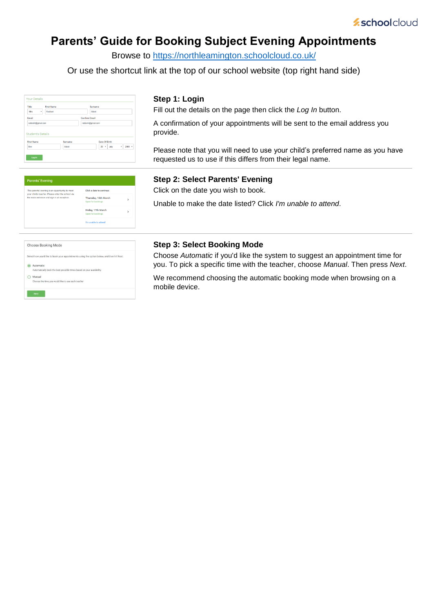## **Parents' Guide for Booking Subject Evening Appointments**

Browse to<https://northleamington.schoolcloud.co.uk/>

Or use the shortcut link at the top of our school website (top right hand side)

| Title                    | <b>First Name</b> | Surname              |                   |  |  |  |
|--------------------------|-------------------|----------------------|-------------------|--|--|--|
| Mrs<br>٠                 | Rachael           | Abbet                |                   |  |  |  |
| Email                    |                   | <b>Confirm Email</b> |                   |  |  |  |
| rabbot4@gmail.com        |                   | rabbot4@gmail.com    |                   |  |  |  |
| <b>Student's Details</b> |                   |                      |                   |  |  |  |
| <b>First Name</b>        | Surname           | Date Of Birth        |                   |  |  |  |
| Ben                      | Abbot             | $20 \cdot$<br>July   | $2000$ $*$<br>. . |  |  |  |

#### **Step 1: Login**

Fill out the details on the page then click the *Log In* button.

A confirmation of your appointments will be sent to the email address you provide.

Please note that you will need to use your child's preferred name as you have requested us to use if this differs from their legal name.

| <b>Parents' Evening</b>                                                                              |                                           |   |
|------------------------------------------------------------------------------------------------------|-------------------------------------------|---|
| This parents' evening is an opportunity to meet<br>your child's teacher. Please enter the school via | Click a date to continue:                 |   |
| the main entrance and sign in at reception.                                                          | Thursday, 16th March<br>Open for bookings | > |
|                                                                                                      | Friday, 17th March<br>Open for bookings   | ١ |
|                                                                                                      | I'm unable to attend                      |   |

# **Step 2: Select Parents' Evening**

Click on the date you wish to book.

Unable to make the date listed? Click *I'm unable to attend*.

| Choose Booking Mode                                                                        |
|--------------------------------------------------------------------------------------------|
| Select how you'd like to book your appointments using the option below, and then hit Next. |
| Automatic<br>Automatically book the best possible times based on your availability         |
| Manual<br>Choose the time you would like to see each teacher                               |
| Next                                                                                       |

### **Step 3: Select Booking Mode**

Choose *Automatic* if you'd like the system to suggest an appointment time for you. To pick a specific time with the teacher, choose *Manual*. Then press *Next*.

We recommend choosing the automatic booking mode when browsing on a mobile device.